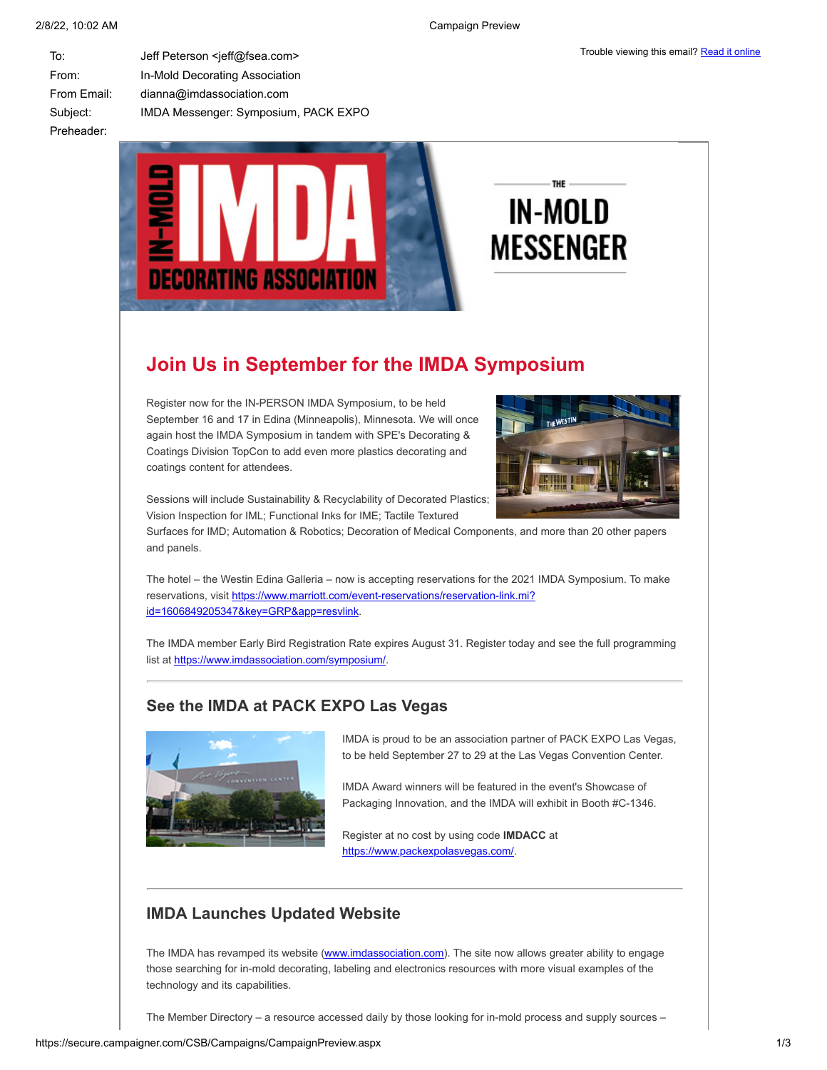| To:         | Jeff Peterson <jeff@fsea.com></jeff@fsea.com> |
|-------------|-----------------------------------------------|
| From:       | In-Mold Decorating Association                |
| From Email: | dianna@imdassociation.com                     |
| Subject:    | IMDA Messenger: Symposium, PACK EXPO          |
| Preheader:  |                                               |



# THE **IN-MOLD MESSENGER**

# **Join Us in September for the IMDA Symposium**

Register now for the IN-PERSON IMDA Symposium, to be held September 16 and 17 in Edina (Minneapolis), Minnesota. We will once again host the IMDA Symposium in tandem with SPE's Decorating & Coatings Division TopCon to add even more plastics decorating and coatings content for attendees.



Sessions will include Sustainability & Recyclability of Decorated Plastics; Vision Inspection for IML; Functional Inks for IME; Tactile Textured

Surfaces for IMD; Automation & Robotics; Decoration of Medical Components, and more than 20 other papers and panels.

The hotel – the Westin Edina Galleria – now is accepting reservations for the 2021 IMDA Symposium. To make [reservations, visit https://www.marriott.com/event-reservations/reservation-link.mi?](https://www.marriott.com/event-reservations/reservation-link.mi?id=1606849205347&key=GRP&app=resvlink) id=1606849205347&key=GRP&app=resvlink.

The IMDA member Early Bird Registration Rate expires August 31. Register today and see the full programming list at [https://www.imdassociation.com/symposium/.](https://www.imdassociation.com/symposium/)

## **See the IMDA at PACK EXPO Las Vegas**



IMDA is proud to be an association partner of PACK EXPO Las Vegas, to be held September 27 to 29 at the Las Vegas Convention Center.

IMDA Award winners will be featured in the event's Showcase of Packaging Innovation, and the IMDA will exhibit in Booth #C-1346.

Register at no cost by using code **IMDACC** at <https://www.packexpolasvegas.com/>.

# **IMDA Launches Updated Website**

The IMDA has revamped its website ([www.imdassociation.com](http://www.imdassociation.com/)). The site now allows greater ability to engage those searching for in-mold decorating, labeling and electronics resources with more visual examples of the technology and its capabilities.

The Member Directory – a resource accessed daily by those looking for in-mold process and supply sources –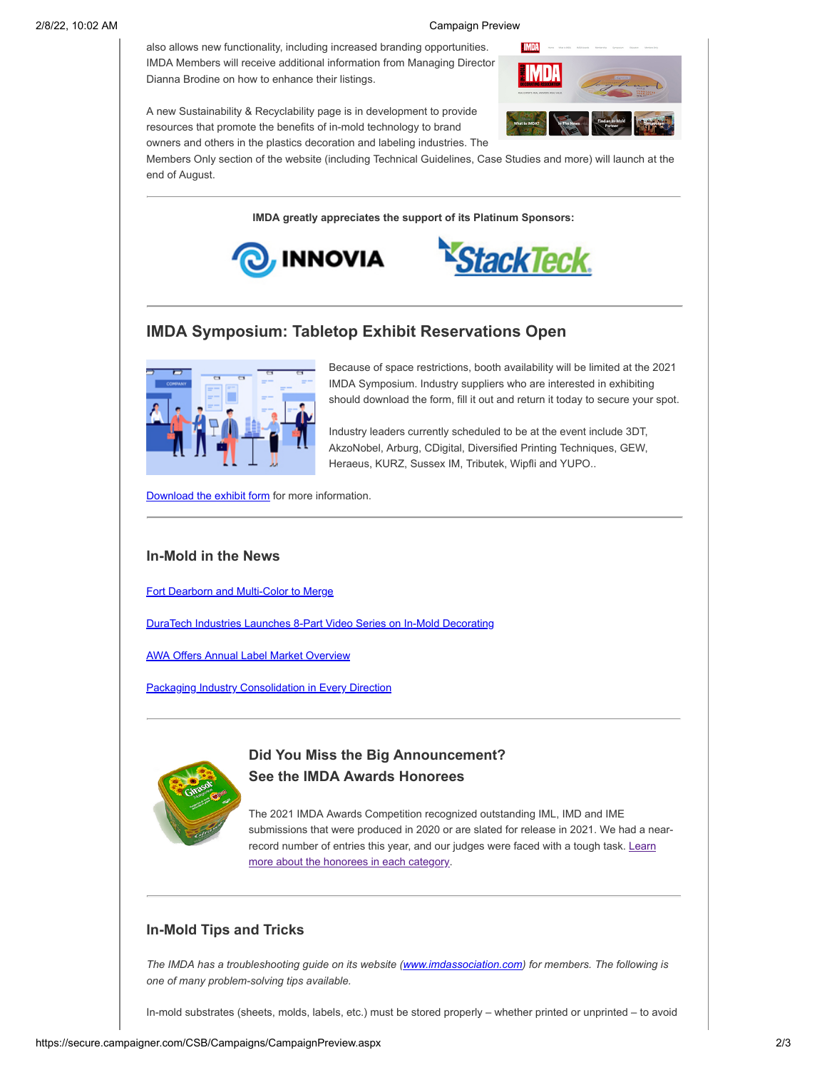also allows new functionality, including increased branding opportunities. IMDA Members will receive additional information from Managing Director Dianna Brodine on how to enhance their listings.

A new Sustainability & Recyclability page is in development to provide resources that promote the benefits of in-mold technology to brand owners and others in the plastics decoration and labeling industries. The



Members Only section of the website (including Technical Guidelines, Case Studies and more) will launch at the end of August.

**IMDA greatly appreciates the support of its Platinum Sponsors:**





### **IMDA Symposium: Tabletop Exhibit Reservations Open**



Because of space restrictions, booth availability will be limited at the 2021 IMDA Symposium. Industry suppliers who are interested in exhibiting should download the form, fill it out and return it today to secure your spot.

Industry leaders currently scheduled to be at the event include 3DT, AkzoNobel, Arburg, CDigital, Diversified Printing Techniques, GEW, Heraeus, KURZ, Sussex IM, Tributek, Wipfli and YUPO..

[Download the exhibit form](https://imdassociation.com/wp-content/uploads/2021/08/2021_TopConIMDA_SupplierTradeForm-imda.pdf) for more information.

#### **In-Mold in the News**

[Fort Dearborn and Multi-Color to Merge](https://imdassociation.com/industrials-cdr-leads-merger-of-fort-dearborn-and-multi-color-corporation-to-create-scaled-global-label-manufacturer/)

[DuraTech Industries Launches 8-Part Video Series on In-Mold Decorating](https://www.youtube.com/watch?v=YwdwTgFCgkk)

[AWA Offers Annual Label Market Overview](https://plasticsdecorating.com/articles/2021/awa-annual-review-label-and-product-decoration/)

[Packaging Industry Consolidation in Every Direction](https://www.piworld.com/article/the-target-report-packaging-industry-consolidation-in-every-direction/)



#### **Did You Miss the Big Announcement? See the IMDA Awards Honorees**

The 2021 IMDA Awards Competition recognized outstanding IML, IMD and IME submissions that were produced in 2020 or are slated for release in 2021. We had a near[record number of entries this year, and our judges were faced with a tough task. Learn](https://imdassociation.com/imda-awards/2021-imda-awards/) more about the honorees in each category.

#### **In-Mold Tips and Tricks**

*The IMDA has a troubleshooting guide on its website ([www.imdassociation.com\)](http://www.imdassociation.com/) for members. The following is one of many problem-solving tips available.*

In-mold substrates (sheets, molds, labels, etc.) must be stored properly – whether printed or unprinted – to avoid